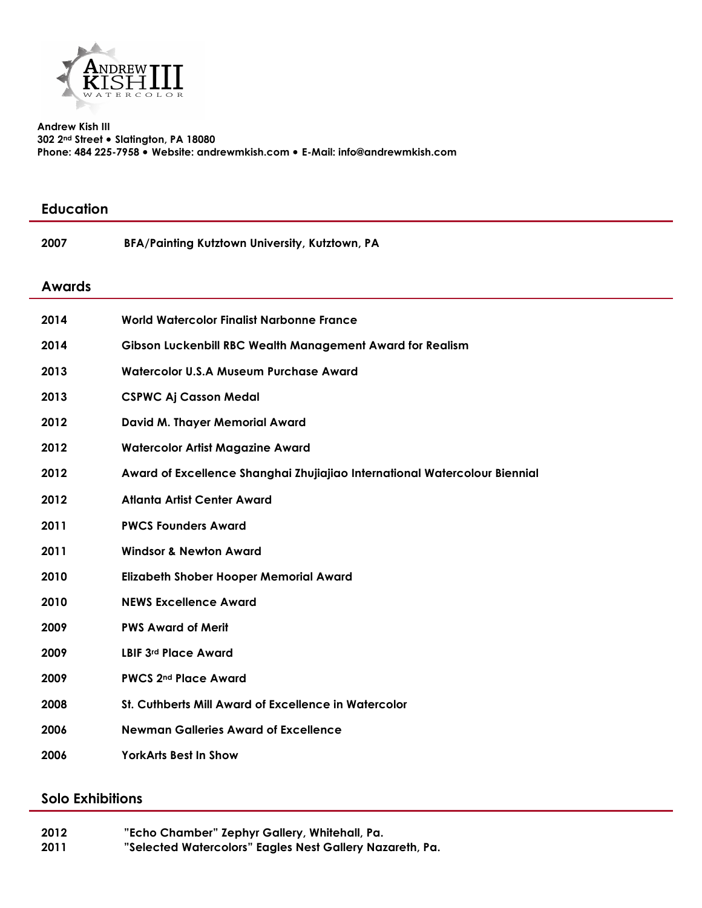

**Andrew Kish III 302 2nd Street Slatington, PA 18080 Phone: 484 225-7958 Website: andrewmkish.com E-Mail: info@andrewmkish.com** 

| <b>Education</b> |                                                                            |
|------------------|----------------------------------------------------------------------------|
| 2007             | BFA/Painting Kutztown University, Kutztown, PA                             |
| <b>Awards</b>    |                                                                            |
| 2014             | <b>World Watercolor Finalist Narbonne France</b>                           |
| 2014             | Gibson Luckenbill RBC Wealth Management Award for Realism                  |
| 2013             | Watercolor U.S.A Museum Purchase Award                                     |
| 2013             | <b>CSPWC Aj Casson Medal</b>                                               |
| 2012             | <b>David M. Thayer Memorial Award</b>                                      |
| 2012             | <b>Watercolor Artist Magazine Award</b>                                    |
| 2012             | Award of Excellence Shanghai Zhujiajiao International Watercolour Biennial |
| 2012             | <b>Atlanta Artist Center Award</b>                                         |
| 2011             | <b>PWCS Founders Award</b>                                                 |
| 2011             | <b>Windsor &amp; Newton Award</b>                                          |
| 2010             | <b>Elizabeth Shober Hooper Memorial Award</b>                              |
| 2010             | <b>NEWS Excellence Award</b>                                               |
| 2009             | <b>PWS Award of Merit</b>                                                  |
| 2009             | LBIF 3rd Place Award                                                       |
| 2009             | <b>PWCS 2nd Place Award</b>                                                |
| 2008             | St. Cuthberts Mill Award of Excellence in Watercolor                       |
| 2006             | <b>Newman Galleries Award of Excellence</b>                                |
| 2006             | <b>YorkArts Best In Show</b>                                               |
|                  |                                                                            |

## **Solo Exhibitions**

| 2012 | "Echo Chamber" Zephyr Gallery, Whitehall, Pa.            |
|------|----------------------------------------------------------|
| 2011 | "Selected Watercolors" Eagles Nest Gallery Nazareth, Pa. |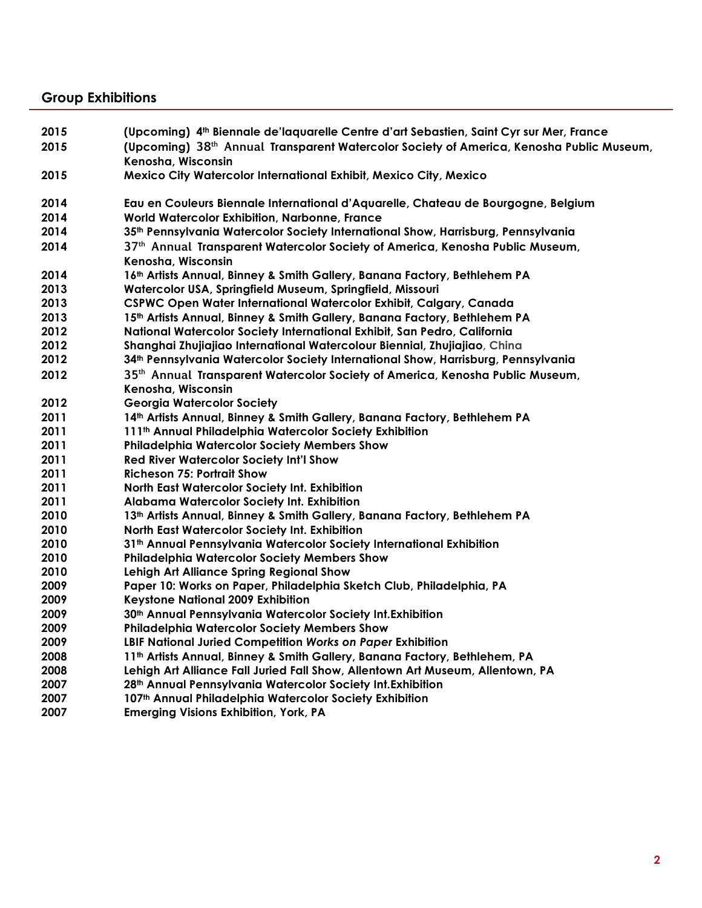## **Group Exhibitions**

| 2015 | (Upcoming) 4 <sup>th</sup> Biennale de'laquarelle Centre d'art Sebastien, Saint Cyr sur Mer, France  |
|------|------------------------------------------------------------------------------------------------------|
| 2015 | (Upcoming) 38 <sup>th</sup> Annual Transparent Watercolor Society of America, Kenosha Public Museum, |
|      | Kenosha, Wisconsin                                                                                   |
| 2015 | Mexico City Watercolor International Exhibit, Mexico City, Mexico                                    |
|      |                                                                                                      |
| 2014 | Eau en Couleurs Biennale International d'Aquarelle, Chateau de Bourgogne, Belgium                    |
| 2014 | World Watercolor Exhibition, Narbonne, France                                                        |
| 2014 | 35th Pennsylvania Watercolor Society International Show, Harrisburg, Pennsylvania                    |
| 2014 | 37th Annual Transparent Watercolor Society of America, Kenosha Public Museum,                        |
|      | Kenosha, Wisconsin                                                                                   |
| 2014 | 16th Artists Annual, Binney & Smith Gallery, Banana Factory, Bethlehem PA                            |
| 2013 | Watercolor USA, Springfield Museum, Springfield, Missouri                                            |
| 2013 | CSPWC Open Water International Watercolor Exhibit, Calgary, Canada                                   |
| 2013 | 15th Artists Annual, Binney & Smith Gallery, Banana Factory, Bethlehem PA                            |
| 2012 | National Watercolor Society International Exhibit, San Pedro, California                             |
| 2012 | Shanghai Zhujiajiao International Watercolour Biennial, Zhujiajiao, China                            |
| 2012 | 34th Pennsylvania Watercolor Society International Show, Harrisburg, Pennsylvania                    |
| 2012 | 35 <sup>th</sup> Annual Transparent Watercolor Society of America, Kenosha Public Museum,            |
|      | Kenosha, Wisconsin                                                                                   |
| 2012 | <b>Georgia Watercolor Society</b>                                                                    |
| 2011 | 14th Artists Annual, Binney & Smith Gallery, Banana Factory, Bethlehem PA                            |
| 2011 | 111 <sup>th</sup> Annual Philadelphia Watercolor Society Exhibition                                  |
| 2011 | <b>Philadelphia Watercolor Society Members Show</b>                                                  |
| 2011 | <b>Red River Watercolor Society Int'l Show</b>                                                       |
| 2011 | <b>Richeson 75: Portrait Show</b>                                                                    |
| 2011 | North East Watercolor Society Int. Exhibition                                                        |
| 2011 | Alabama Watercolor Society Int. Exhibition                                                           |
| 2010 | 13th Artists Annual, Binney & Smith Gallery, Banana Factory, Bethlehem PA                            |
| 2010 | North East Watercolor Society Int. Exhibition                                                        |
| 2010 | 31 <sup>th</sup> Annual Pennsylvania Watercolor Society International Exhibition                     |
| 2010 | <b>Philadelphia Watercolor Society Members Show</b>                                                  |
| 2010 | <b>Lehigh Art Alliance Spring Regional Show</b>                                                      |
| 2009 | Paper 10: Works on Paper, Philadelphia Sketch Club, Philadelphia, PA                                 |
| 2009 | Keystone National 2009 Exhibition                                                                    |
| 2009 | 30th Annual Pennsylvania Watercolor Society Int. Exhibition                                          |
| 2009 | <b>Philadelphia Watercolor Society Members Show</b>                                                  |
| 2009 | LBIF National Juried Competition Works on Paper Exhibition                                           |
| 2008 | 11th Artists Annual, Binney & Smith Gallery, Banana Factory, Bethlehem, PA                           |
| 2008 | Lehigh Art Alliance Fall Juried Fall Show, Allentown Art Museum, Allentown, PA                       |
| 2007 | 28th Annual Pennsylvania Watercolor Society Int. Exhibition                                          |
| 2007 | 107th Annual Philadelphia Watercolor Society Exhibition                                              |
| 2007 | <b>Emerging Visions Exhibition, York, PA</b>                                                         |
|      |                                                                                                      |